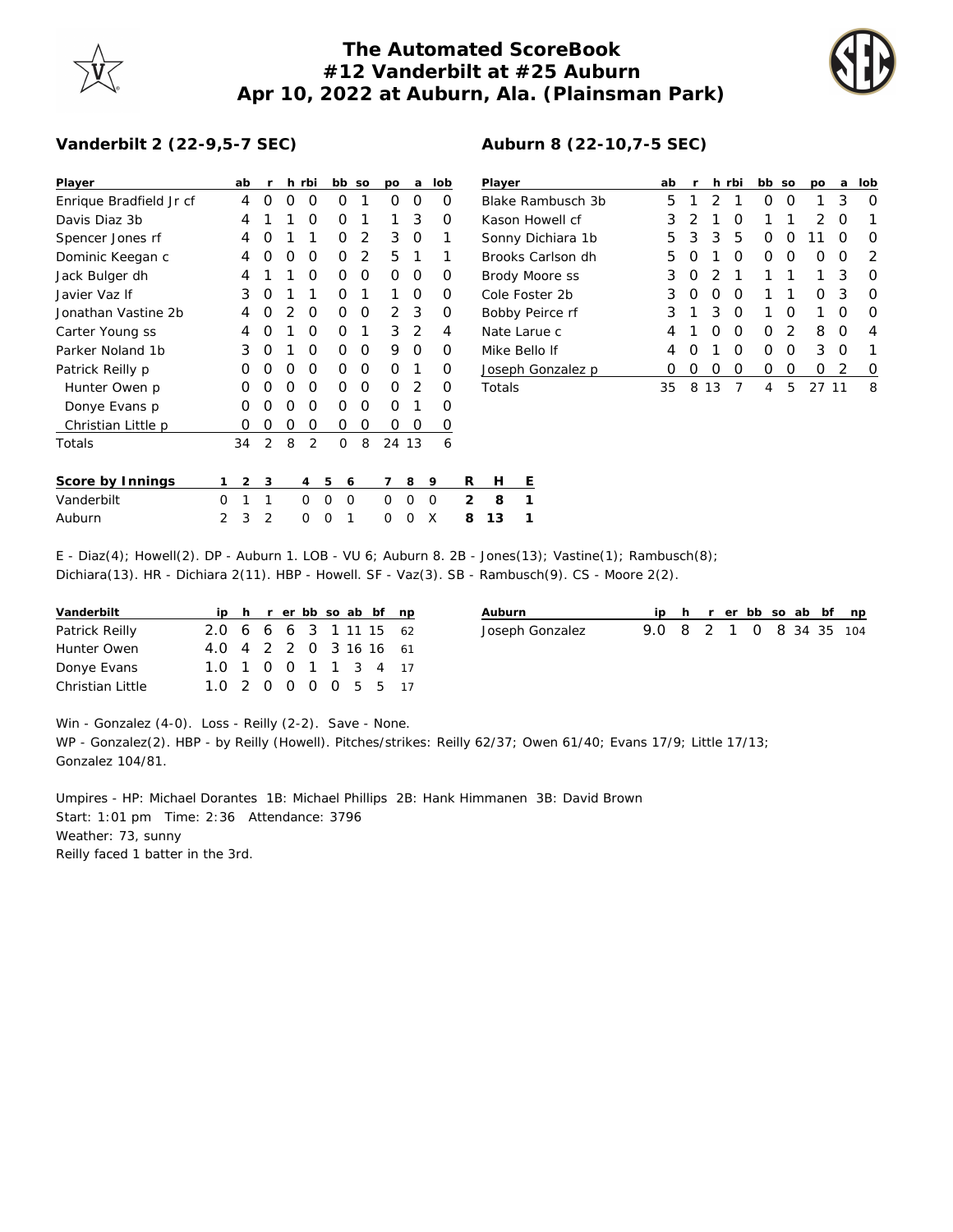## **The Automated ScoreBook #12 Vanderbilt at #25 Auburn Apr 10, 2022 at Auburn, Ala. (Plainsman Park)**



## **Vanderbilt 2 (22-9,5-7 SEC)**

| Player                  |   | ab             | -r             |   | h rbi    |          | bb so    | po       | a        | lob         |   | Player         |   |                   | ab |   |    | h rbi    | bb so |   | po    | a | lob |
|-------------------------|---|----------------|----------------|---|----------|----------|----------|----------|----------|-------------|---|----------------|---|-------------------|----|---|----|----------|-------|---|-------|---|-----|
| Enrique Bradfield Jr cf |   | 4              | 0              | 0 | 0        | 0        |          | 0        | 0        | 0           |   |                |   | Blake Rambusch 3b | 5  |   | 2  |          | 0     | 0 |       | 3 | 0   |
| Davis Diaz 3b           |   | 4              |                |   | 0        | 0        |          |          | 3        | 0           |   |                |   | Kason Howell cf   | 3  |   |    | O        |       |   | 2     | 0 |     |
| Spencer Jones rf        |   | 4              | 0              |   |          | 0        | 2        | 3        | 0        |             |   |                |   | Sonny Dichiara 1b | 5  | 3 | 3  | 5        | 0     | 0 |       | 0 | 0   |
| Dominic Keegan c        |   | 4              | 0              | 0 | 0        | 0        | 2        | 5        |          |             |   |                |   | Brooks Carlson dh | 5. | Ο |    | 0        | 0     | 0 | 0     | 0 | 2   |
| Jack Bulger dh          |   | 4              |                |   | 0        | $\Omega$ | 0        | $\Omega$ | 0        | 0           |   |                |   | Brody Moore ss    | 3  | 0 |    |          |       |   |       | 3 | 0   |
| Javier Vaz If           |   | 3              | 0              |   |          | 0        |          |          | 0        | 0           |   | Cole Foster 2b |   |                   | 3  | 0 | 0  | $\Omega$ |       |   | 0     | 3 | 0   |
| Jonathan Vastine 2b     |   | 4              | $\Omega$       |   | $\Omega$ | $\Omega$ | 0        | 2        | -3       | 0           |   |                |   | Bobby Peirce rf   | 3. |   | 3  | 0        |       | 0 |       | 0 | 0   |
| Carter Young ss         |   | 4              | O              |   | 0        | $\Omega$ |          | 3        | 2        | 4           |   | Nate Larue c   |   |                   | 4  |   | 0  | 0        | 0     | 2 | 8     | 0 | 4   |
| Parker Noland 1b        |   | 3              | $\Omega$       |   | O        | $\Omega$ | 0        | 9        | 0        | 0           |   | Mike Bello If  |   |                   | 4  | Ο |    | 0        | 0     | 0 | 3     | 0 |     |
| Patrick Reilly p        |   | 0              | 0              | 0 | 0        | 0        | 0        | $\Omega$ |          | 0           |   |                |   | Joseph Gonzalez p | 0  | 0 | 0  | 0        | 0     | 0 | 0     | 2 | 0   |
| Hunter Owen p           |   | $\Omega$       | $\Omega$       | O | O        | 0        | 0        | $\Omega$ | 2        | $\Omega$    |   | Totals         |   |                   | 35 | 8 | 13 |          | 4     | 5 | 27 11 |   | 8   |
| Donye Evans p           |   | 0              | $\Omega$       | O | 0        | $\Omega$ | 0        | $\Omega$ |          | 0           |   |                |   |                   |    |   |    |          |       |   |       |   |     |
| Christian Little p      |   | 0              | 0              | 0 | 0        | 0        | 0        | 0        | 0        | O           |   |                |   |                   |    |   |    |          |       |   |       |   |     |
| Totals                  |   | 34             | 2              | 8 | 2        | 0        | 8        | 24 13    |          | 6           |   |                |   |                   |    |   |    |          |       |   |       |   |     |
| Score by Innings        |   | $\overline{2}$ | 3              |   | 4        | 5        | 6        | 7        | 8        | 9           | R | H              | Ε |                   |    |   |    |          |       |   |       |   |     |
| Vanderbilt              | 0 |                |                |   | $\Omega$ | $\Omega$ | $\Omega$ | $\Omega$ | $\Omega$ | $\mathbf 0$ | 2 | 8              | 1 |                   |    |   |    |          |       |   |       |   |     |
| Auburn                  | 2 | 3              | $\overline{2}$ |   | 0        | 0        |          | 0        | 0        | X           | 8 | 13             |   |                   |    |   |    |          |       |   |       |   |     |

| Player            | ab | $\mathsf{r}$     |                  | h rbi | bb so |   | <b>DO</b> | a | lob           |
|-------------------|----|------------------|------------------|-------|-------|---|-----------|---|---------------|
| Blake Rambusch 3b | h  |                  |                  | 1     | O     | O |           | 3 | O             |
| Kason Howell cf   |    |                  |                  | O     | 1     | 1 | 2         | O | 1             |
| Sonny Dichiara 1b | 5. | -3               | 3                | 5     | O     | O |           | 0 | O             |
| Brooks Carlson dh | h. | $\left( \right)$ |                  | Ω     | O     | O | Ω         | O | $\mathcal{D}$ |
| Brody Moore ss    | 3  | $\left( \right)$ | 2                |       | 1     | 1 |           | 3 | O             |
| Cole Foster 2b    | 3  | $\left( \right)$ | $\left( \right)$ | O     | 1     | 1 | Ω         | 3 | O             |
| Bobby Peirce rf   | 3  |                  | З                | O     | 1     | O |           | O | O             |
| Nate Larue c      |    |                  |                  | O     | Ω     |   | 8         | Ο | 4             |

## **Auburn 8 (22-10,7-5 SEC)**

E - Diaz(4); Howell(2). DP - Auburn 1. LOB - VU 6; Auburn 8. 2B - Jones(13); Vastine(1); Rambusch(8); Dichiara(13). HR - Dichiara 2(11). HBP - Howell. SF - Vaz(3). SB - Rambusch(9). CS - Moore 2(2).

| Vanderbilt       |                        |  |  |  | ip h r er bb so ab bf np |
|------------------|------------------------|--|--|--|--------------------------|
| Patrick Reilly   | 2.0 6 6 6 3 1 11 15 62 |  |  |  |                          |
| Hunter Owen      | 4.0 4 2 2 0 3 16 16 61 |  |  |  |                          |
| Donye Evans      | 1.0 1 0 0 1 1 3 4 17   |  |  |  |                          |
| Christian Little | 1.0 2 0 0 0 0 5 5 17   |  |  |  |                          |

| Auburn          |                         |  |  |  | ip h r er bb so ab bf np |
|-----------------|-------------------------|--|--|--|--------------------------|
| Joseph Gonzalez | 9.0 8 2 1 0 8 34 35 104 |  |  |  |                          |
|                 |                         |  |  |  |                          |

Win - Gonzalez (4-0). Loss - Reilly (2-2). Save - None.

WP - Gonzalez(2). HBP - by Reilly (Howell). Pitches/strikes: Reilly 62/37; Owen 61/40; Evans 17/9; Little 17/13; Gonzalez 104/81.

Umpires - HP: Michael Dorantes 1B: Michael Phillips 2B: Hank Himmanen 3B: David Brown Start: 1:01 pm Time: 2:36 Attendance: 3796 Weather: 73, sunny Reilly faced 1 batter in the 3rd.